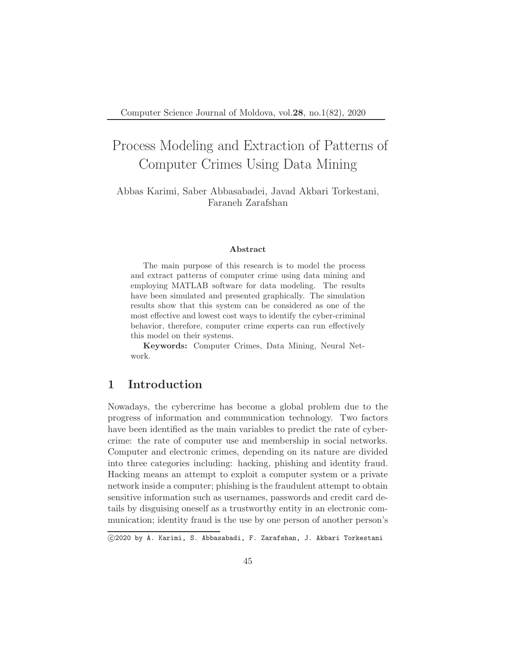# Process Modeling and Extraction of Patterns of Computer Crimes Using Data Mining

Abbas Karimi, Saber Abbasabadei, Javad Akbari Torkestani, Faraneh Zarafshan

#### Abstract

The main purpose of this research is to model the process and extract patterns of computer crime using data mining and employing MATLAB software for data modeling. The results have been simulated and presented graphically. The simulation results show that this system can be considered as one of the most effective and lowest cost ways to identify the cyber-criminal behavior, therefore, computer crime experts can run effectively this model on their systems.

Keywords: Computer Crimes, Data Mining, Neural Network.

### 1 Introduction

Nowadays, the cybercrime has become a global problem due to the progress of information and communication technology. Two factors have been identified as the main variables to predict the rate of cybercrime: the rate of computer use and membership in social networks. Computer and electronic crimes, depending on its nature are divided into three categories including: hacking, phishing and identity fraud. Hacking means an attempt to exploit a computer system or a private network inside a computer; phishing is the fraudulent attempt to obtain sensitive information such as usernames, passwords and credit card details by disguising oneself as a trustworthy entity in an electronic communication; identity fraud is the use by one person of another person's

c 2020 by A. Karimi, S. Abbasabadi, F. Zarafshan, J. Akbari Torkestani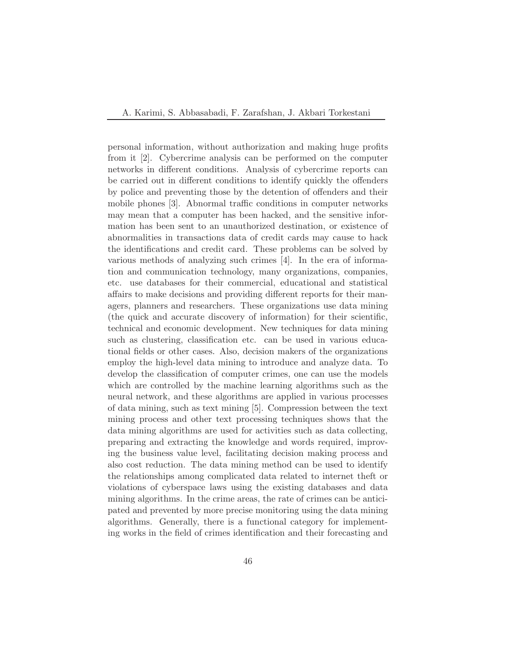personal information, without authorization and making huge profits from it [2]. Cybercrime analysis can be performed on the computer networks in different conditions. Analysis of cybercrime reports can be carried out in different conditions to identify quickly the offenders by police and preventing those by the detention of offenders and their mobile phones [3]. Abnormal traffic conditions in computer networks may mean that a computer has been hacked, and the sensitive information has been sent to an unauthorized destination, or existence of abnormalities in transactions data of credit cards may cause to hack the identifications and credit card. These problems can be solved by various methods of analyzing such crimes [4]. In the era of information and communication technology, many organizations, companies, etc. use databases for their commercial, educational and statistical affairs to make decisions and providing different reports for their managers, planners and researchers. These organizations use data mining (the quick and accurate discovery of information) for their scientific, technical and economic development. New techniques for data mining such as clustering, classification etc. can be used in various educational fields or other cases. Also, decision makers of the organizations employ the high-level data mining to introduce and analyze data. To develop the classification of computer crimes, one can use the models which are controlled by the machine learning algorithms such as the neural network, and these algorithms are applied in various processes of data mining, such as text mining [5]. Compression between the text mining process and other text processing techniques shows that the data mining algorithms are used for activities such as data collecting, preparing and extracting the knowledge and words required, improving the business value level, facilitating decision making process and also cost reduction. The data mining method can be used to identify the relationships among complicated data related to internet theft or violations of cyberspace laws using the existing databases and data mining algorithms. In the crime areas, the rate of crimes can be anticipated and prevented by more precise monitoring using the data mining algorithms. Generally, there is a functional category for implementing works in the field of crimes identification and their forecasting and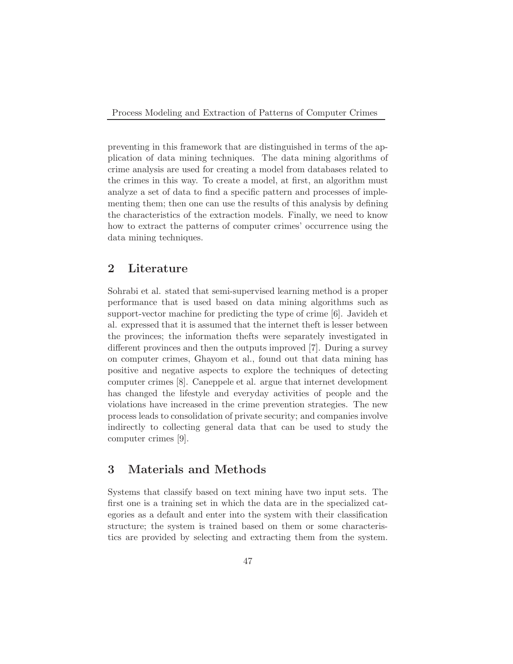preventing in this framework that are distinguished in terms of the application of data mining techniques. The data mining algorithms of crime analysis are used for creating a model from databases related to the crimes in this way. To create a model, at first, an algorithm must analyze a set of data to find a specific pattern and processes of implementing them; then one can use the results of this analysis by defining the characteristics of the extraction models. Finally, we need to know how to extract the patterns of computer crimes' occurrence using the data mining techniques.

#### 2 Literature

Sohrabi et al. stated that semi-supervised learning method is a proper performance that is used based on data mining algorithms such as support-vector machine for predicting the type of crime [6]. Javideh et al. expressed that it is assumed that the internet theft is lesser between the provinces; the information thefts were separately investigated in different provinces and then the outputs improved [7]. During a survey on computer crimes, Ghayom et al., found out that data mining has positive and negative aspects to explore the techniques of detecting computer crimes [8]. Caneppele et al. argue that internet development has changed the lifestyle and everyday activities of people and the violations have increased in the crime prevention strategies. The new process leads to consolidation of private security; and companies involve indirectly to collecting general data that can be used to study the computer crimes [9].

### 3 Materials and Methods

Systems that classify based on text mining have two input sets. The first one is a training set in which the data are in the specialized categories as a default and enter into the system with their classification structure; the system is trained based on them or some characteristics are provided by selecting and extracting them from the system.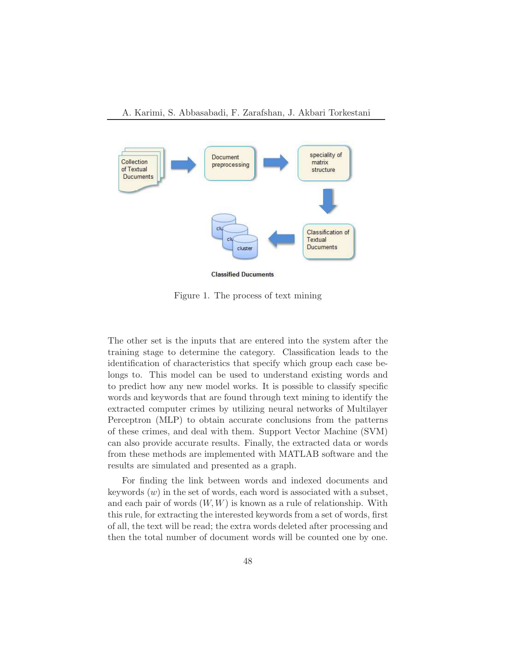

Figure 1. The process of text mining

The other set is the inputs that are entered into the system after the training stage to determine the category. Classification leads to the identification of characteristics that specify which group each case belongs to. This model can be used to understand existing words and to predict how any new model works. It is possible to classify specific words and keywords that are found through text mining to identify the extracted computer crimes by utilizing neural networks of Multilayer Perceptron (MLP) to obtain accurate conclusions from the patterns of these crimes, and deal with them. Support Vector Machine (SVM) can also provide accurate results. Finally, the extracted data or words from these methods are implemented with MATLAB software and the results are simulated and presented as a graph.

For finding the link between words and indexed documents and keywords  $(w)$  in the set of words, each word is associated with a subset, and each pair of words  $(W, W)$  is known as a rule of relationship. With this rule, for extracting the interested keywords from a set of words, first of all, the text will be read; the extra words deleted after processing and then the total number of document words will be counted one by one.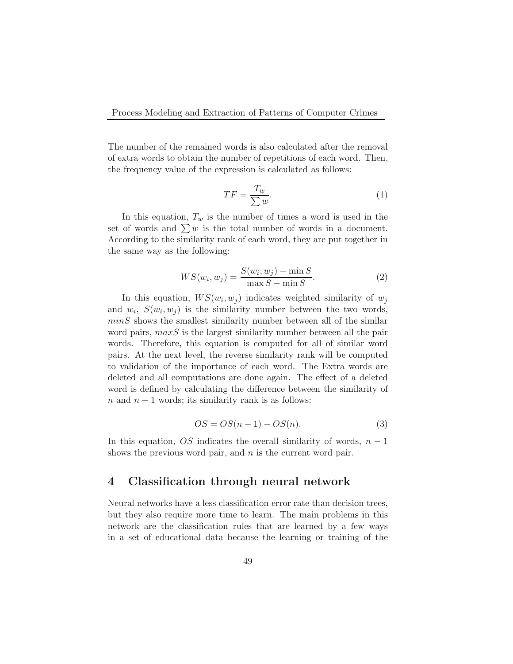The number of the remained words is also calculated after the removal of extra words to obtain the number of repetitions of each word. Then, the frequency value of the expression is calculated as follows:

$$
TF = \frac{T_w}{\sum w}.\tag{1}
$$

In this equation,  $T_w$  is the number of times a word is used in the set of words and  $\sum w$  is the total number of words in a document. According to the similarity rank of each word, they are put together in the same way as the following:

$$
WS(w_i, w_j) = \frac{S(w_i, w_j) - \min S}{\max S - \min S}.
$$
\n
$$
(2)
$$

In this equation,  $WS(w_i, w_j)$  indicates weighted similarity of  $w_j$ and  $w_i$ ,  $S(w_i, w_j)$  is the similarity number between the two words,  $minS$  shows the smallest similarity number between all of the similar word pairs,  $maxS$  is the largest similarity number between all the pair words. Therefore, this equation is computed for all of similar word pairs. At the next level, the reverse similarity rank will be computed to validation of the importance of each word. The Extra words are deleted and all computations are done again. The effect of a deleted word is defined by calculating the difference between the similarity of  $n$  and  $n-1$  words; its similarity rank is as follows:

$$
OS = OS(n-1) - OS(n). \tag{3}
$$

In this equation,  $OS$  indicates the overall similarity of words,  $n-1$ shows the previous word pair, and  $n$  is the current word pair.

#### 4 Classification through neural network

Neural networks have a less classification error rate than decision trees, but they also require more time to learn. The main problems in this network are the classification rules that are learned by a few ways in a set of educational data because the learning or training of the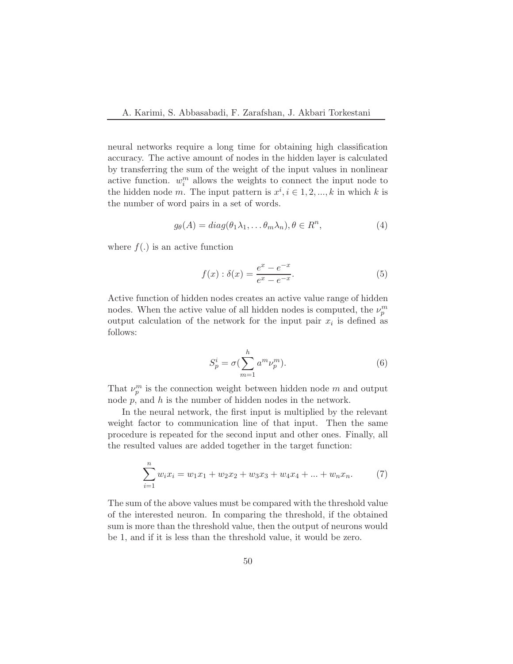neural networks require a long time for obtaining high classification accuracy. The active amount of nodes in the hidden layer is calculated by transferring the sum of the weight of the input values in nonlinear active function.  $w_i^m$  allows the weights to connect the input node to the hidden node m. The input pattern is  $x^i, i \in 1, 2, ..., k$  in which k is the number of word pairs in a set of words.

$$
g_{\theta}(A) = diag(\theta_1 \lambda_1, \dots \theta_m \lambda_n), \theta \in R^n,
$$
\n(4)

where  $f(.)$  is an active function

$$
f(x) : \delta(x) = \frac{e^x - e^{-x}}{e^x - e^{-x}}.
$$
 (5)

Active function of hidden nodes creates an active value range of hidden nodes. When the active value of all hidden nodes is computed, the  $\nu_p^m$ output calculation of the network for the input pair  $x_i$  is defined as follows:

$$
S_p^i = \sigma(\sum_{m=1}^h a^m \nu_p^m). \tag{6}
$$

That  $\nu_p^m$  is the connection weight between hidden node m and output node  $p$ , and  $h$  is the number of hidden nodes in the network.

In the neural network, the first input is multiplied by the relevant weight factor to communication line of that input. Then the same procedure is repeated for the second input and other ones. Finally, all the resulted values are added together in the target function:

$$
\sum_{i=1}^{n} w_i x_i = w_1 x_1 + w_2 x_2 + w_3 x_3 + w_4 x_4 + \dots + w_n x_n.
$$
 (7)

The sum of the above values must be compared with the threshold value of the interested neuron. In comparing the threshold, if the obtained sum is more than the threshold value, then the output of neurons would be 1, and if it is less than the threshold value, it would be zero.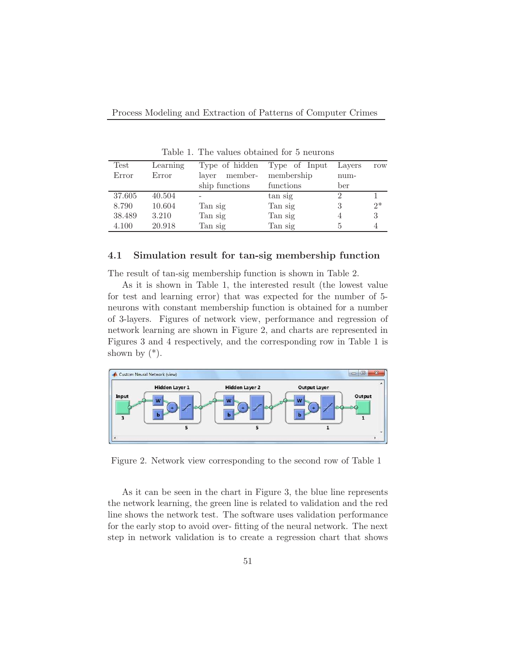| Test   | Learning | Type of hidden   | Type of Input | Layers | row  |
|--------|----------|------------------|---------------|--------|------|
| Error  | Error    | member-<br>laver | membership    | num-   |      |
|        |          | ship functions   | functions     | ber    |      |
| 37.605 | 40.504   |                  | tan sig       |        |      |
| 8.790  | 10.604   | Tan sig          | Tan sig       | 3      | $2*$ |
| 38.489 | 3.210    | Tan sig          | Tan sig       |        | 3    |
| 4.100  | 20.918   | Tan sig          | Tan sig       | 5      |      |
|        |          |                  |               |        |      |

Table 1. The values obtained for 5 neurons

#### 4.1 Simulation result for tan-sig membership function

The result of tan-sig membership function is shown in Table 2.

As it is shown in Table 1, the interested result (the lowest value for test and learning error) that was expected for the number of 5 neurons with constant membership function is obtained for a number of 3-layers. Figures of network view, performance and regression of network learning are shown in Figure 2, and charts are represented in Figures 3 and 4 respectively, and the corresponding row in Table 1 is shown by  $(*)$ .



Figure 2. Network view corresponding to the second row of Table 1

As it can be seen in the chart in Figure 3, the blue line represents the network learning, the green line is related to validation and the red line shows the network test. The software uses validation performance for the early stop to avoid over- fitting of the neural network. The next step in network validation is to create a regression chart that shows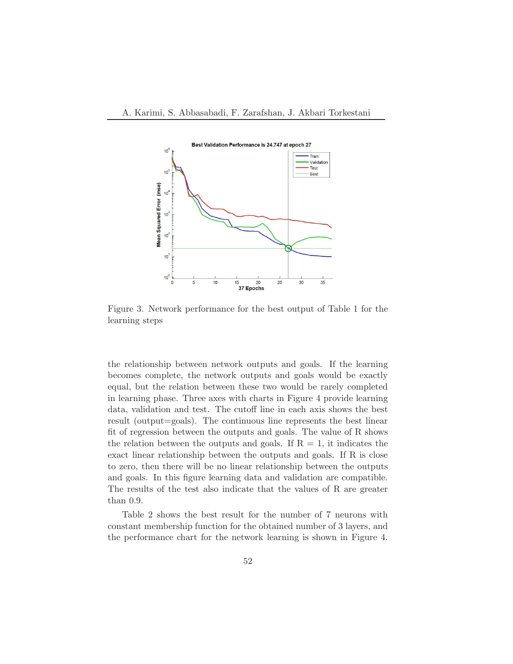

Figure 3. Network performance for the best output of Table 1 for the learning steps

the relationship between network outputs and goals. If the learning becomes complete, the network outputs and goals would be exactly equal, but the relation between these two would be rarely completed in learning phase. Three axes with charts in Figure 4 provide learning data, validation and test. The cutoff line in each axis shows the best result (output=goals). The continuous line represents the best linear fit of regression between the outputs and goals. The value of R shows the relation between the outputs and goals. If  $R = 1$ , it indicates the exact linear relationship between the outputs and goals. If R is close to zero, then there will be no linear relationship between the outputs and goals. In this figure learning data and validation are compatible. The results of the test also indicate that the values of R are greater than 0.9.

Table 2 shows the best result for the number of 7 neurons with constant membership function for the obtained number of 3 layers, and the performance chart for the network learning is shown in Figure 4.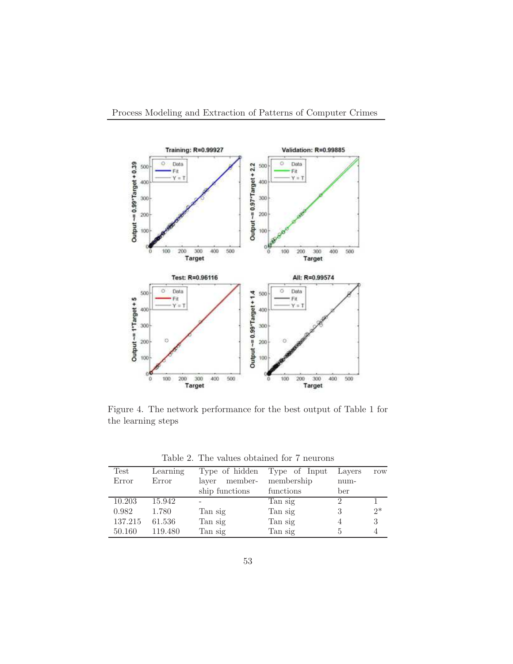

Figure 4. The network performance for the best output of Table 1 for the learning steps

Table 2. The values obtained for 7 neurons

| Test    | Learning |                  | Type of hidden Type of Input | Layers                      | row  |
|---------|----------|------------------|------------------------------|-----------------------------|------|
| Error   | Error    | member-<br>laver | membership                   | $num-$                      |      |
|         |          | ship functions   | functions                    | ber                         |      |
| 10.203  | 15.942   |                  | Tan sig                      | $\mathcal{D}_{\mathcal{L}}$ |      |
| 0.982   | 1.780    | Tan sig          | Tan sig                      | 3                           | $2*$ |
| 137.215 | 61.536   | Tan sig          | Tan sig                      |                             | 3    |
| 50.160  | 119.480  | Tan sig          | Tan sig                      | 5                           |      |
|         |          |                  |                              |                             |      |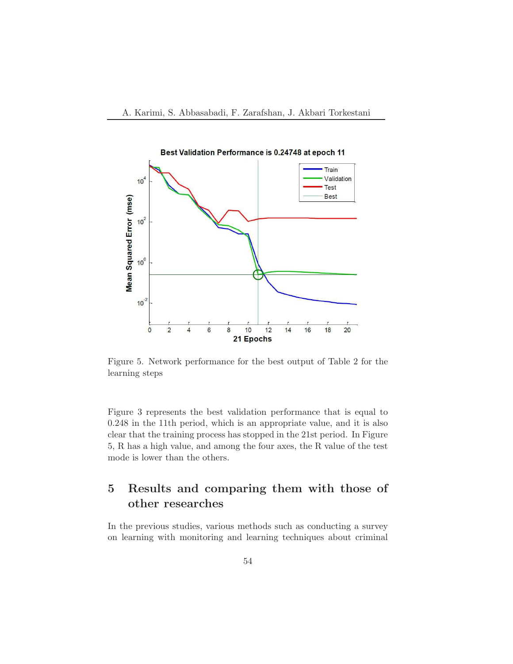

Figure 5. Network performance for the best output of Table 2 for the learning steps

Figure 3 represents the best validation performance that is equal to 0.248 in the 11th period, which is an appropriate value, and it is also clear that the training process has stopped in the 21st period. In Figure 5, R has a high value, and among the four axes, the R value of the test mode is lower than the others.

## 5 Results and comparing them with those of other researches

In the previous studies, various methods such as conducting a survey on learning with monitoring and learning techniques about criminal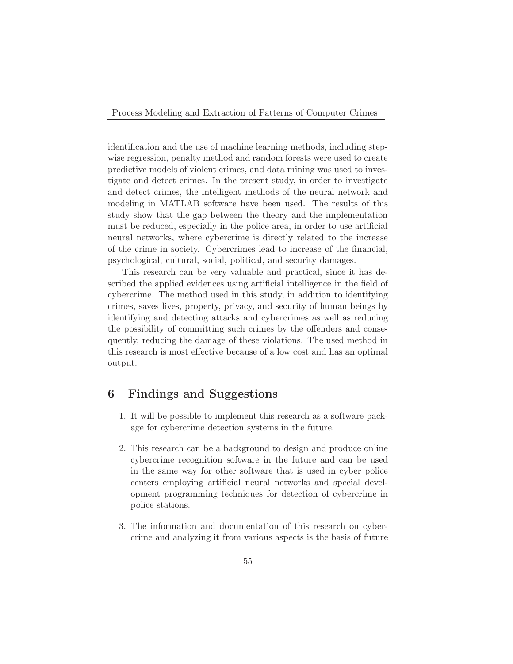identification and the use of machine learning methods, including stepwise regression, penalty method and random forests were used to create predictive models of violent crimes, and data mining was used to investigate and detect crimes. In the present study, in order to investigate and detect crimes, the intelligent methods of the neural network and modeling in MATLAB software have been used. The results of this study show that the gap between the theory and the implementation must be reduced, especially in the police area, in order to use artificial neural networks, where cybercrime is directly related to the increase of the crime in society. Cybercrimes lead to increase of the financial, psychological, cultural, social, political, and security damages.

This research can be very valuable and practical, since it has described the applied evidences using artificial intelligence in the field of cybercrime. The method used in this study, in addition to identifying crimes, saves lives, property, privacy, and security of human beings by identifying and detecting attacks and cybercrimes as well as reducing the possibility of committing such crimes by the offenders and consequently, reducing the damage of these violations. The used method in this research is most effective because of a low cost and has an optimal output.

### 6 Findings and Suggestions

- 1. It will be possible to implement this research as a software package for cybercrime detection systems in the future.
- 2. This research can be a background to design and produce online cybercrime recognition software in the future and can be used in the same way for other software that is used in cyber police centers employing artificial neural networks and special development programming techniques for detection of cybercrime in police stations.
- 3. The information and documentation of this research on cybercrime and analyzing it from various aspects is the basis of future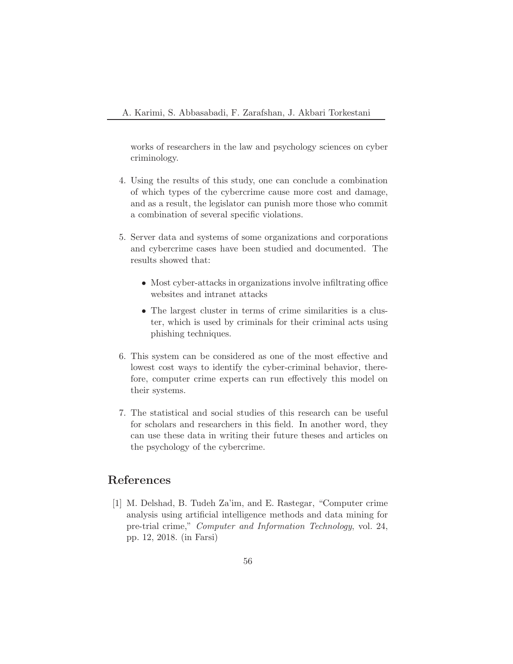works of researchers in the law and psychology sciences on cyber criminology.

- 4. Using the results of this study, one can conclude a combination of which types of the cybercrime cause more cost and damage, and as a result, the legislator can punish more those who commit a combination of several specific violations.
- 5. Server data and systems of some organizations and corporations and cybercrime cases have been studied and documented. The results showed that:
	- Most cyber-attacks in organizations involve infiltrating office websites and intranet attacks
	- The largest cluster in terms of crime similarities is a cluster, which is used by criminals for their criminal acts using phishing techniques.
- 6. This system can be considered as one of the most effective and lowest cost ways to identify the cyber-criminal behavior, therefore, computer crime experts can run effectively this model on their systems.
- 7. The statistical and social studies of this research can be useful for scholars and researchers in this field. In another word, they can use these data in writing their future theses and articles on the psychology of the cybercrime.

## References

[1] M. Delshad, B. Tudeh Za'im, and E. Rastegar, "Computer crime analysis using artificial intelligence methods and data mining for pre-trial crime," Computer and Information Technology, vol. 24, pp. 12, 2018. (in Farsi)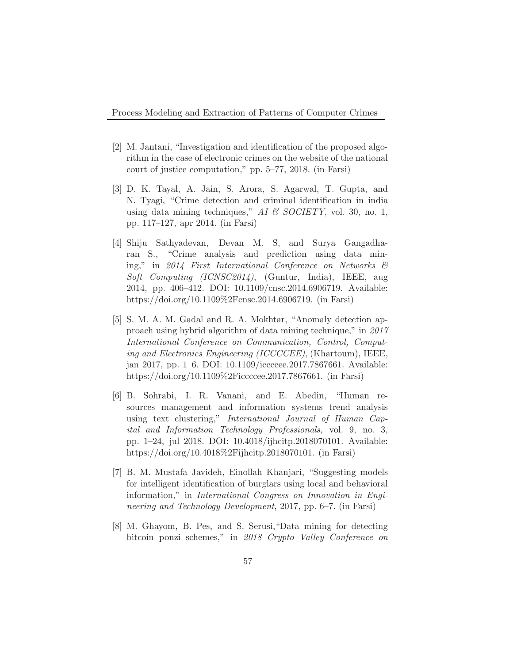- [2] M. Jantani, "Investigation and identification of the proposed algorithm in the case of electronic crimes on the website of the national court of justice computation," pp. 5–77, 2018. (in Farsi)
- [3] D. K. Tayal, A. Jain, S. Arora, S. Agarwal, T. Gupta, and N. Tyagi, "Crime detection and criminal identification in india using data mining techniques," AI  $\mathcal{B}$  SOCIETY, vol. 30, no. 1, pp. 117–127, apr 2014. (in Farsi)
- [4] Shiju Sathyadevan, Devan M. S, and Surya Gangadharan S., "Crime analysis and prediction using data mining," in 2014 First International Conference on Networks & Soft Computing (ICNSC2014), (Guntur, India), IEEE, aug 2014, pp. 406–412. DOI: 10.1109/cnsc.2014.6906719. Available: https://doi.org/10.1109%2Fcnsc.2014.6906719. (in Farsi)
- [5] S. M. A. M. Gadal and R. A. Mokhtar, "Anomaly detection approach using hybrid algorithm of data mining technique," in 2017 International Conference on Communication, Control, Computing and Electronics Engineering (ICCCCEE), (Khartoum), IEEE, jan 2017, pp. 1–6. DOI: 10.1109/iccccee.2017.7867661. Available: https://doi.org/10.1109%2Ficcccee.2017.7867661. (in Farsi)
- [6] B. Sohrabi, I. R. Vanani, and E. Abedin, "Human resources management and information systems trend analysis using text clustering," International Journal of Human Capital and Information Technology Professionals, vol. 9, no. 3, pp. 1–24, jul 2018. DOI: 10.4018/ijhcitp.2018070101. Available: https://doi.org/10.4018%2Fijhcitp.2018070101. (in Farsi)
- [7] B. M. Mustafa Javideh, Einollah Khanjari, "Suggesting models for intelligent identification of burglars using local and behavioral information," in International Congress on Innovation in Engineering and Technology Development, 2017, pp. 6–7. (in Farsi)
- [8] M. Ghayom, B. Pes, and S. Serusi,"Data mining for detecting bitcoin ponzi schemes," in 2018 Crypto Valley Conference on